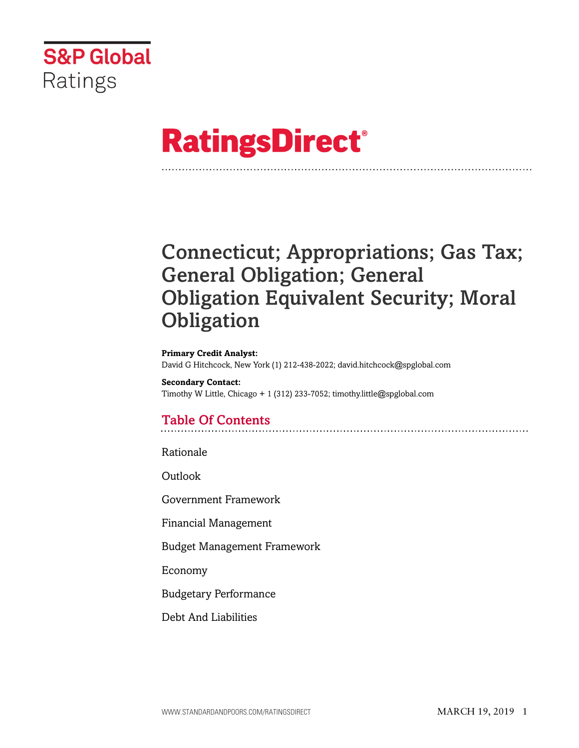

# **RatingsDirect®**

# Connecticut; Appropriations; Gas Tax; General Obligation; General Obligation Equivalent Security; Moral **Obligation**

#### **Primary Credit Analyst:** David G Hitchcock, New York (1) 212-438-2022; david.hitchcock@spglobal.com

**Secondary Contact:** Timothy W Little, Chicago + 1 (312) 233-7052; timothy.little@spglobal.com

# Table Of Contents

[Rationale](#page-1-0)

[Outlook](#page-7-0)

[Government Framework](#page-8-0)

[Financial Management](#page-9-0)

[Budget Management Framework](#page-10-0)

[Economy](#page-10-1)

[Budgetary Performance](#page-11-0)

[Debt And Liabilities](#page-14-0)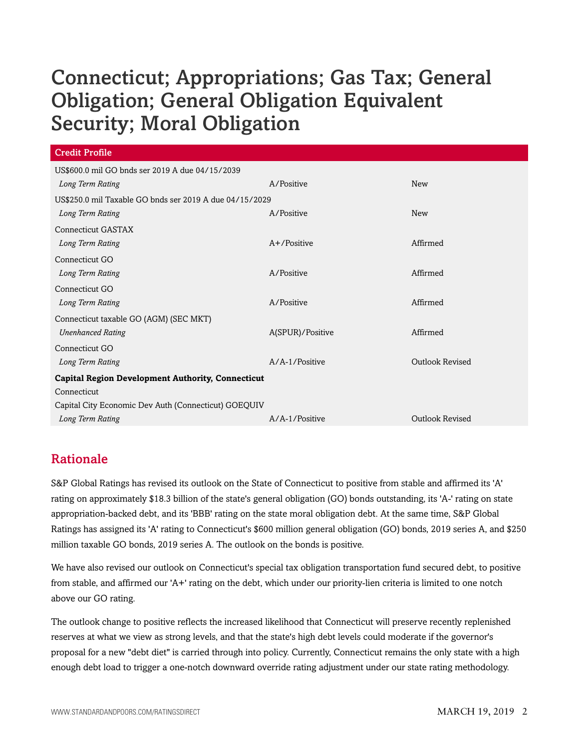| <b>Credit Profile</b>                                    |                  |                        |  |  |  |  |
|----------------------------------------------------------|------------------|------------------------|--|--|--|--|
| US\$600.0 mil GO bnds ser 2019 A due 04/15/2039          |                  |                        |  |  |  |  |
| Long Term Rating                                         | A/Positive       | New                    |  |  |  |  |
| US\$250.0 mil Taxable GO bnds ser 2019 A due 04/15/2029  |                  |                        |  |  |  |  |
| Long Term Rating                                         | A/Positive       | <b>New</b>             |  |  |  |  |
| <b>Connecticut GASTAX</b>                                |                  |                        |  |  |  |  |
| Long Term Rating                                         | $A+$ /Positive   | Affirmed               |  |  |  |  |
| Connecticut GO                                           |                  |                        |  |  |  |  |
| Long Term Rating                                         | A/Positive       | Affirmed               |  |  |  |  |
| Connecticut GO                                           |                  |                        |  |  |  |  |
| Long Term Rating                                         | A/Positive       | Affirmed               |  |  |  |  |
| Connecticut taxable GO (AGM) (SEC MKT)                   |                  |                        |  |  |  |  |
| <b>Unenhanced Rating</b>                                 | A(SPUR)/Positive | Affirmed               |  |  |  |  |
| Connecticut GO                                           |                  |                        |  |  |  |  |
| Long Term Rating                                         | A/A-1/Positive   | <b>Outlook Revised</b> |  |  |  |  |
| <b>Capital Region Development Authority, Connecticut</b> |                  |                        |  |  |  |  |
| Connecticut                                              |                  |                        |  |  |  |  |
| Capital City Economic Dev Auth (Connecticut) GOEQUIV     |                  |                        |  |  |  |  |
| Long Term Rating                                         | A/A-1/Positive   | <b>Outlook Revised</b> |  |  |  |  |

# <span id="page-1-0"></span>Rationale

S&P Global Ratings has revised its outlook on the State of Connecticut to positive from stable and affirmed its 'A' rating on approximately \$18.3 billion of the state's general obligation (GO) bonds outstanding, its 'A-' rating on state appropriation-backed debt, and its 'BBB' rating on the state moral obligation debt. At the same time, S&P Global Ratings has assigned its 'A' rating to Connecticut's \$600 million general obligation (GO) bonds, 2019 series A, and \$250 million taxable GO bonds, 2019 series A. The outlook on the bonds is positive.

We have also revised our outlook on Connecticut's special tax obligation transportation fund secured debt, to positive from stable, and affirmed our 'A+' rating on the debt, which under our priority-lien criteria is limited to one notch above our GO rating.

The outlook change to positive reflects the increased likelihood that Connecticut will preserve recently replenished reserves at what we view as strong levels, and that the state's high debt levels could moderate if the governor's proposal for a new "debt diet" is carried through into policy. Currently, Connecticut remains the only state with a high enough debt load to trigger a one-notch downward override rating adjustment under our state rating methodology.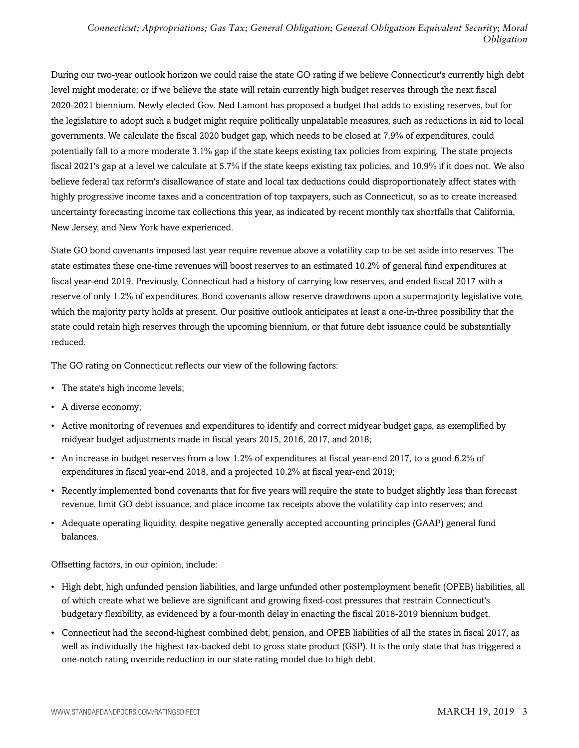During our two-year outlook horizon we could raise the state GO rating if we believe Connecticut's currently high debt level might moderate; or if we believe the state will retain currently high budget reserves through the next fiscal 2020-2021 biennium. Newly elected Gov. Ned Lamont has proposed a budget that adds to existing reserves, but for the legislature to adopt such a budget might require politically unpalatable measures, such as reductions in aid to local governments. We calculate the fiscal 2020 budget gap, which needs to be closed at 7.9% of expenditures, could potentially fall to a more moderate 3.1% gap if the state keeps existing tax policies from expiring. The state projects fiscal 2021's gap at a level we calculate at 5.7% if the state keeps existing tax policies, and 10.9% if it does not. We also believe federal tax reform's disallowance of state and local tax deductions could disproportionately affect states with highly progressive income taxes and a concentration of top taxpayers, such as Connecticut, so as to create increased uncertainty forecasting income tax collections this year, as indicated by recent monthly tax shortfalls that California, New Jersey, and New York have experienced.

State GO bond covenants imposed last year require revenue above a volatility cap to be set aside into reserves. The state estimates these one-time revenues will boost reserves to an estimated 10.2% of general fund expenditures at fiscal year-end 2019. Previously, Connecticut had a history of carrying low reserves, and ended fiscal 2017 with a reserve of only 1.2% of expenditures. Bond covenants allow reserve drawdowns upon a supermajority legislative vote, which the majority party holds at present. Our positive outlook anticipates at least a one-in-three possibility that the state could retain high reserves through the upcoming biennium, or that future debt issuance could be substantially reduced.

The GO rating on Connecticut reflects our view of the following factors:

- The state's high income levels;
- A diverse economy;
- Active monitoring of revenues and expenditures to identify and correct midyear budget gaps, as exemplified by midyear budget adjustments made in fiscal years 2015, 2016, 2017, and 2018;
- An increase in budget reserves from a low 1.2% of expenditures at fiscal year-end 2017, to a good 6.2% of expenditures in fiscal year-end 2018, and a projected 10.2% at fiscal year-end 2019;
- Recently implemented bond covenants that for five years will require the state to budget slightly less than forecast revenue, limit GO debt issuance, and place income tax receipts above the volatility cap into reserves; and
- Adequate operating liquidity, despite negative generally accepted accounting principles (GAAP) general fund balances.

Offsetting factors, in our opinion, include:

- High debt, high unfunded pension liabilities, and large unfunded other postemployment benefit (OPEB) liabilities, all of which create what we believe are significant and growing fixed-cost pressures that restrain Connecticut's budgetary flexibility, as evidenced by a four-month delay in enacting the fiscal 2018-2019 biennium budget.
- Connecticut had the second-highest combined debt, pension, and OPEB liabilities of all the states in fiscal 2017, as well as individually the highest tax-backed debt to gross state product (GSP). It is the only state that has triggered a one-notch rating override reduction in our state rating model due to high debt.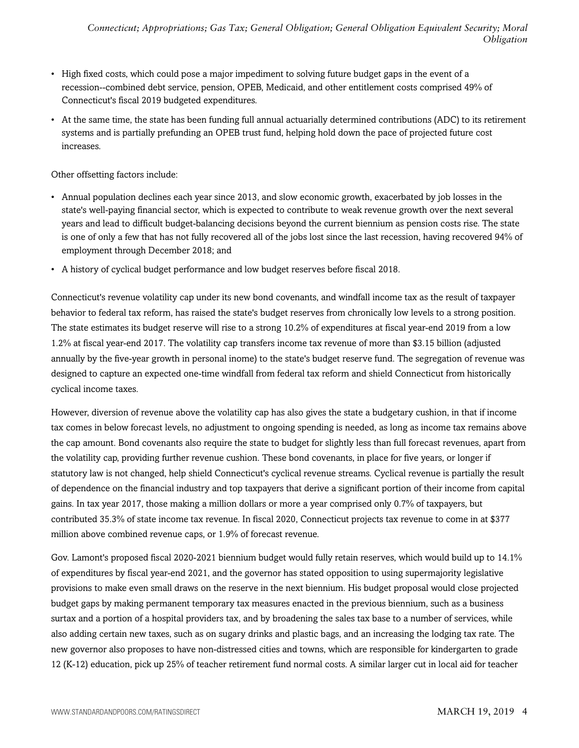- High fixed costs, which could pose a major impediment to solving future budget gaps in the event of a recession--combined debt service, pension, OPEB, Medicaid, and other entitlement costs comprised 49% of Connecticut's fiscal 2019 budgeted expenditures.
- At the same time, the state has been funding full annual actuarially determined contributions (ADC) to its retirement systems and is partially prefunding an OPEB trust fund, helping hold down the pace of projected future cost increases.

Other offsetting factors include:

- Annual population declines each year since 2013, and slow economic growth, exacerbated by job losses in the state's well-paying financial sector, which is expected to contribute to weak revenue growth over the next several years and lead to difficult budget-balancing decisions beyond the current biennium as pension costs rise. The state is one of only a few that has not fully recovered all of the jobs lost since the last recession, having recovered 94% of employment through December 2018; and
- A history of cyclical budget performance and low budget reserves before fiscal 2018.

Connecticut's revenue volatility cap under its new bond covenants, and windfall income tax as the result of taxpayer behavior to federal tax reform, has raised the state's budget reserves from chronically low levels to a strong position. The state estimates its budget reserve will rise to a strong 10.2% of expenditures at fiscal year-end 2019 from a low 1.2% at fiscal year-end 2017. The volatility cap transfers income tax revenue of more than \$3.15 billion (adjusted annually by the five-year growth in personal inome) to the state's budget reserve fund. The segregation of revenue was designed to capture an expected one-time windfall from federal tax reform and shield Connecticut from historically cyclical income taxes.

However, diversion of revenue above the volatility cap has also gives the state a budgetary cushion, in that if income tax comes in below forecast levels, no adjustment to ongoing spending is needed, as long as income tax remains above the cap amount. Bond covenants also require the state to budget for slightly less than full forecast revenues, apart from the volatility cap, providing further revenue cushion. These bond covenants, in place for five years, or longer if statutory law is not changed, help shield Connecticut's cyclical revenue streams. Cyclical revenue is partially the result of dependence on the financial industry and top taxpayers that derive a significant portion of their income from capital gains. In tax year 2017, those making a million dollars or more a year comprised only 0.7% of taxpayers, but contributed 35.3% of state income tax revenue. In fiscal 2020, Connecticut projects tax revenue to come in at \$377 million above combined revenue caps, or 1.9% of forecast revenue.

Gov. Lamont's proposed fiscal 2020-2021 biennium budget would fully retain reserves, which would build up to 14.1% of expenditures by fiscal year-end 2021, and the governor has stated opposition to using supermajority legislative provisions to make even small draws on the reserve in the next biennium. His budget proposal would close projected budget gaps by making permanent temporary tax measures enacted in the previous biennium, such as a business surtax and a portion of a hospital providers tax, and by broadening the sales tax base to a number of services, while also adding certain new taxes, such as on sugary drinks and plastic bags, and an increasing the lodging tax rate. The new governor also proposes to have non-distressed cities and towns, which are responsible for kindergarten to grade 12 (K-12) education, pick up 25% of teacher retirement fund normal costs. A similar larger cut in local aid for teacher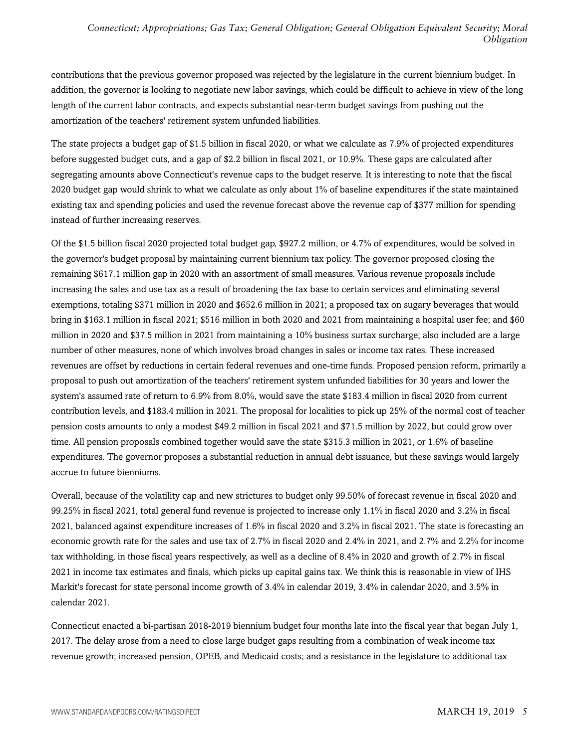contributions that the previous governor proposed was rejected by the legislature in the current biennium budget. In addition, the governor is looking to negotiate new labor savings, which could be difficult to achieve in view of the long length of the current labor contracts, and expects substantial near-term budget savings from pushing out the amortization of the teachers' retirement system unfunded liabilities.

The state projects a budget gap of \$1.5 billion in fiscal 2020, or what we calculate as 7.9% of projected expenditures before suggested budget cuts, and a gap of \$2.2 billion in fiscal 2021, or 10.9%. These gaps are calculated after segregating amounts above Connecticut's revenue caps to the budget reserve. It is interesting to note that the fiscal 2020 budget gap would shrink to what we calculate as only about 1% of baseline expenditures if the state maintained existing tax and spending policies and used the revenue forecast above the revenue cap of \$377 million for spending instead of further increasing reserves.

Of the \$1.5 billion fiscal 2020 projected total budget gap, \$927.2 million, or 4.7% of expenditures, would be solved in the governor's budget proposal by maintaining current biennium tax policy. The governor proposed closing the remaining \$617.1 million gap in 2020 with an assortment of small measures. Various revenue proposals include increasing the sales and use tax as a result of broadening the tax base to certain services and eliminating several exemptions, totaling \$371 million in 2020 and \$652.6 million in 2021; a proposed tax on sugary beverages that would bring in \$163.1 million in fiscal 2021; \$516 million in both 2020 and 2021 from maintaining a hospital user fee; and \$60 million in 2020 and \$37.5 million in 2021 from maintaining a 10% business surtax surcharge; also included are a large number of other measures, none of which involves broad changes in sales or income tax rates. These increased revenues are offset by reductions in certain federal revenues and one-time funds. Proposed pension reform, primarily a proposal to push out amortization of the teachers' retirement system unfunded liabilities for 30 years and lower the system's assumed rate of return to 6.9% from 8.0%, would save the state \$183.4 million in fiscal 2020 from current contribution levels, and \$183.4 million in 2021. The proposal for localities to pick up 25% of the normal cost of teacher pension costs amounts to only a modest \$49.2 million in fiscal 2021 and \$71.5 million by 2022, but could grow over time. All pension proposals combined together would save the state \$315.3 million in 2021, or 1.6% of baseline expenditures. The governor proposes a substantial reduction in annual debt issuance, but these savings would largely accrue to future bienniums.

Overall, because of the volatility cap and new strictures to budget only 99.50% of forecast revenue in fiscal 2020 and 99.25% in fiscal 2021, total general fund revenue is projected to increase only 1.1% in fiscal 2020 and 3.2% in fiscal 2021, balanced against expenditure increases of 1.6% in fiscal 2020 and 3.2% in fiscal 2021. The state is forecasting an economic growth rate for the sales and use tax of 2.7% in fiscal 2020 and 2.4% in 2021, and 2.7% and 2.2% for income tax withholding, in those fiscal years respectively, as well as a decline of 8.4% in 2020 and growth of 2.7% in fiscal 2021 in income tax estimates and finals, which picks up capital gains tax. We think this is reasonable in view of IHS Markit's forecast for state personal income growth of 3.4% in calendar 2019, 3.4% in calendar 2020, and 3.5% in calendar 2021.

Connecticut enacted a bi-partisan 2018-2019 biennium budget four months late into the fiscal year that began July 1, 2017. The delay arose from a need to close large budget gaps resulting from a combination of weak income tax revenue growth; increased pension, OPEB, and Medicaid costs; and a resistance in the legislature to additional tax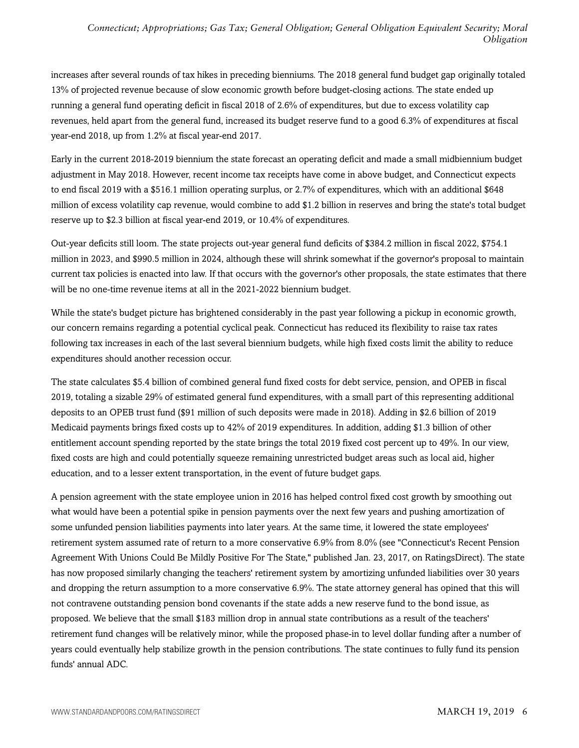increases after several rounds of tax hikes in preceding bienniums. The 2018 general fund budget gap originally totaled 13% of projected revenue because of slow economic growth before budget-closing actions. The state ended up running a general fund operating deficit in fiscal 2018 of 2.6% of expenditures, but due to excess volatility cap revenues, held apart from the general fund, increased its budget reserve fund to a good 6.3% of expenditures at fiscal year-end 2018, up from 1.2% at fiscal year-end 2017.

Early in the current 2018-2019 biennium the state forecast an operating deficit and made a small midbiennium budget adjustment in May 2018. However, recent income tax receipts have come in above budget, and Connecticut expects to end fiscal 2019 with a \$516.1 million operating surplus, or 2.7% of expenditures, which with an additional \$648 million of excess volatility cap revenue, would combine to add \$1.2 billion in reserves and bring the state's total budget reserve up to \$2.3 billion at fiscal year-end 2019, or 10.4% of expenditures.

Out-year deficits still loom. The state projects out-year general fund deficits of \$384.2 million in fiscal 2022, \$754.1 million in 2023, and \$990.5 million in 2024, although these will shrink somewhat if the governor's proposal to maintain current tax policies is enacted into law. If that occurs with the governor's other proposals, the state estimates that there will be no one-time revenue items at all in the 2021-2022 biennium budget.

While the state's budget picture has brightened considerably in the past year following a pickup in economic growth, our concern remains regarding a potential cyclical peak. Connecticut has reduced its flexibility to raise tax rates following tax increases in each of the last several biennium budgets, while high fixed costs limit the ability to reduce expenditures should another recession occur.

The state calculates \$5.4 billion of combined general fund fixed costs for debt service, pension, and OPEB in fiscal 2019, totaling a sizable 29% of estimated general fund expenditures, with a small part of this representing additional deposits to an OPEB trust fund (\$91 million of such deposits were made in 2018). Adding in \$2.6 billion of 2019 Medicaid payments brings fixed costs up to 42% of 2019 expenditures. In addition, adding \$1.3 billion of other entitlement account spending reported by the state brings the total 2019 fixed cost percent up to 49%. In our view, fixed costs are high and could potentially squeeze remaining unrestricted budget areas such as local aid, higher education, and to a lesser extent transportation, in the event of future budget gaps.

A pension agreement with the state employee union in 2016 has helped control fixed cost growth by smoothing out what would have been a potential spike in pension payments over the next few years and pushing amortization of some unfunded pension liabilities payments into later years. At the same time, it lowered the state employees' retirement system assumed rate of return to a more conservative 6.9% from 8.0% (see "Connecticut's Recent Pension Agreement With Unions Could Be Mildly Positive For The State," published Jan. 23, 2017, on RatingsDirect). The state has now proposed similarly changing the teachers' retirement system by amortizing unfunded liabilities over 30 years and dropping the return assumption to a more conservative 6.9%. The state attorney general has opined that this will not contravene outstanding pension bond covenants if the state adds a new reserve fund to the bond issue, as proposed. We believe that the small \$183 million drop in annual state contributions as a result of the teachers' retirement fund changes will be relatively minor, while the proposed phase-in to level dollar funding after a number of years could eventually help stabilize growth in the pension contributions. The state continues to fully fund its pension funds' annual ADC.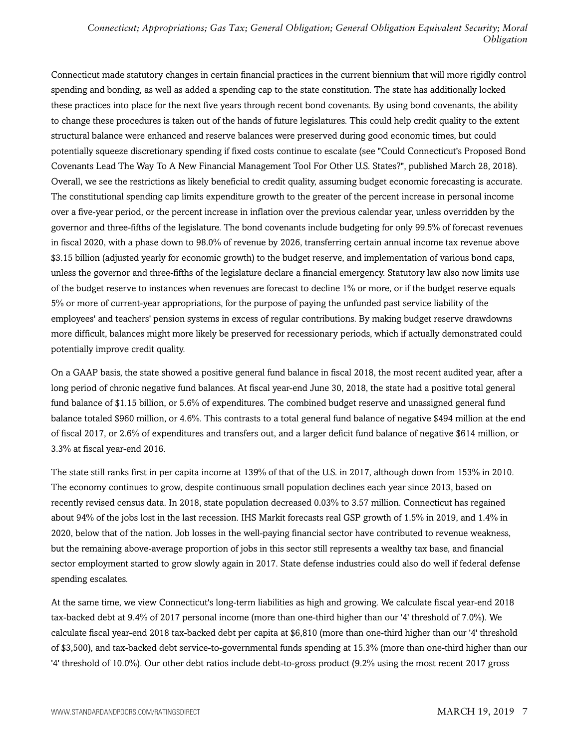Connecticut made statutory changes in certain financial practices in the current biennium that will more rigidly control spending and bonding, as well as added a spending cap to the state constitution. The state has additionally locked these practices into place for the next five years through recent bond covenants. By using bond covenants, the ability to change these procedures is taken out of the hands of future legislatures. This could help credit quality to the extent structural balance were enhanced and reserve balances were preserved during good economic times, but could potentially squeeze discretionary spending if fixed costs continue to escalate (see "Could Connecticut's Proposed Bond Covenants Lead The Way To A New Financial Management Tool For Other U.S. States?", published March 28, 2018). Overall, we see the restrictions as likely beneficial to credit quality, assuming budget economic forecasting is accurate. The constitutional spending cap limits expenditure growth to the greater of the percent increase in personal income over a five-year period, or the percent increase in inflation over the previous calendar year, unless overridden by the governor and three-fifths of the legislature. The bond covenants include budgeting for only 99.5% of forecast revenues in fiscal 2020, with a phase down to 98.0% of revenue by 2026, transferring certain annual income tax revenue above \$3.15 billion (adjusted yearly for economic growth) to the budget reserve, and implementation of various bond caps, unless the governor and three-fifths of the legislature declare a financial emergency. Statutory law also now limits use of the budget reserve to instances when revenues are forecast to decline 1% or more, or if the budget reserve equals 5% or more of current-year appropriations, for the purpose of paying the unfunded past service liability of the employees' and teachers' pension systems in excess of regular contributions. By making budget reserve drawdowns more difficult, balances might more likely be preserved for recessionary periods, which if actually demonstrated could potentially improve credit quality.

On a GAAP basis, the state showed a positive general fund balance in fiscal 2018, the most recent audited year, after a long period of chronic negative fund balances. At fiscal year-end June 30, 2018, the state had a positive total general fund balance of \$1.15 billion, or 5.6% of expenditures. The combined budget reserve and unassigned general fund balance totaled \$960 million, or 4.6%. This contrasts to a total general fund balance of negative \$494 million at the end of fiscal 2017, or 2.6% of expenditures and transfers out, and a larger deficit fund balance of negative \$614 million, or 3.3% at fiscal year-end 2016.

The state still ranks first in per capita income at 139% of that of the U.S. in 2017, although down from 153% in 2010. The economy continues to grow, despite continuous small population declines each year since 2013, based on recently revised census data. In 2018, state population decreased 0.03% to 3.57 million. Connecticut has regained about 94% of the jobs lost in the last recession. IHS Markit forecasts real GSP growth of 1.5% in 2019, and 1.4% in 2020, below that of the nation. Job losses in the well-paying financial sector have contributed to revenue weakness, but the remaining above-average proportion of jobs in this sector still represents a wealthy tax base, and financial sector employment started to grow slowly again in 2017. State defense industries could also do well if federal defense spending escalates.

At the same time, we view Connecticut's long-term liabilities as high and growing. We calculate fiscal year-end 2018 tax-backed debt at 9.4% of 2017 personal income (more than one-third higher than our '4' threshold of 7.0%). We calculate fiscal year-end 2018 tax-backed debt per capita at \$6,810 (more than one-third higher than our '4' threshold of \$3,500), and tax-backed debt service-to-governmental funds spending at 15.3% (more than one-third higher than our '4' threshold of 10.0%). Our other debt ratios include debt-to-gross product (9.2% using the most recent 2017 gross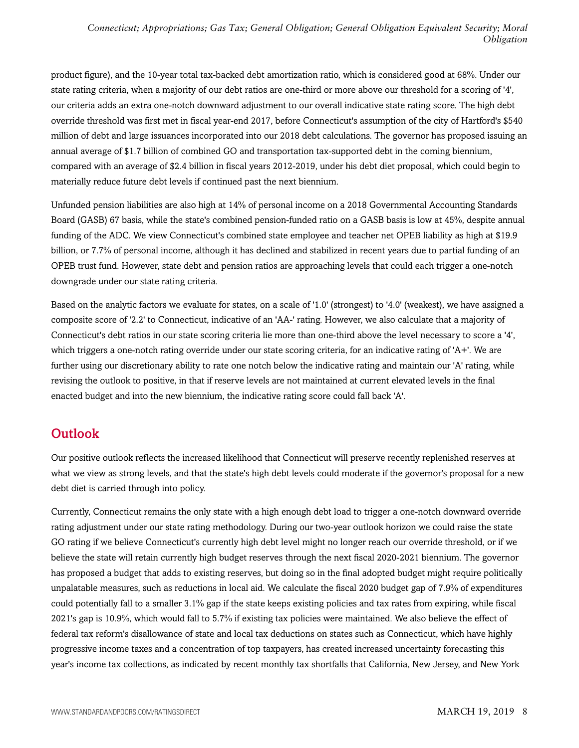product figure), and the 10-year total tax-backed debt amortization ratio, which is considered good at 68%. Under our state rating criteria, when a majority of our debt ratios are one-third or more above our threshold for a scoring of '4', our criteria adds an extra one-notch downward adjustment to our overall indicative state rating score. The high debt override threshold was first met in fiscal year-end 2017, before Connecticut's assumption of the city of Hartford's \$540 million of debt and large issuances incorporated into our 2018 debt calculations. The governor has proposed issuing an annual average of \$1.7 billion of combined GO and transportation tax-supported debt in the coming biennium, compared with an average of \$2.4 billion in fiscal years 2012-2019, under his debt diet proposal, which could begin to materially reduce future debt levels if continued past the next biennium.

Unfunded pension liabilities are also high at 14% of personal income on a 2018 Governmental Accounting Standards Board (GASB) 67 basis, while the state's combined pension-funded ratio on a GASB basis is low at 45%, despite annual funding of the ADC. We view Connecticut's combined state employee and teacher net OPEB liability as high at \$19.9 billion, or 7.7% of personal income, although it has declined and stabilized in recent years due to partial funding of an OPEB trust fund. However, state debt and pension ratios are approaching levels that could each trigger a one-notch downgrade under our state rating criteria.

Based on the analytic factors we evaluate for states, on a scale of '1.0' (strongest) to '4.0' (weakest), we have assigned a composite score of '2.2' to Connecticut, indicative of an 'AA-' rating. However, we also calculate that a majority of Connecticut's debt ratios in our state scoring criteria lie more than one-third above the level necessary to score a '4', which triggers a one-notch rating override under our state scoring criteria, for an indicative rating of 'A+'. We are further using our discretionary ability to rate one notch below the indicative rating and maintain our 'A' rating, while revising the outlook to positive, in that if reserve levels are not maintained at current elevated levels in the final enacted budget and into the new biennium, the indicative rating score could fall back 'A'.

# <span id="page-7-0"></span>**Outlook**

Our positive outlook reflects the increased likelihood that Connecticut will preserve recently replenished reserves at what we view as strong levels, and that the state's high debt levels could moderate if the governor's proposal for a new debt diet is carried through into policy.

Currently, Connecticut remains the only state with a high enough debt load to trigger a one-notch downward override rating adjustment under our state rating methodology. During our two-year outlook horizon we could raise the state GO rating if we believe Connecticut's currently high debt level might no longer reach our override threshold, or if we believe the state will retain currently high budget reserves through the next fiscal 2020-2021 biennium. The governor has proposed a budget that adds to existing reserves, but doing so in the final adopted budget might require politically unpalatable measures, such as reductions in local aid. We calculate the fiscal 2020 budget gap of 7.9% of expenditures could potentially fall to a smaller 3.1% gap if the state keeps existing policies and tax rates from expiring, while fiscal 2021's gap is 10.9%, which would fall to 5.7% if existing tax policies were maintained. We also believe the effect of federal tax reform's disallowance of state and local tax deductions on states such as Connecticut, which have highly progressive income taxes and a concentration of top taxpayers, has created increased uncertainty forecasting this year's income tax collections, as indicated by recent monthly tax shortfalls that California, New Jersey, and New York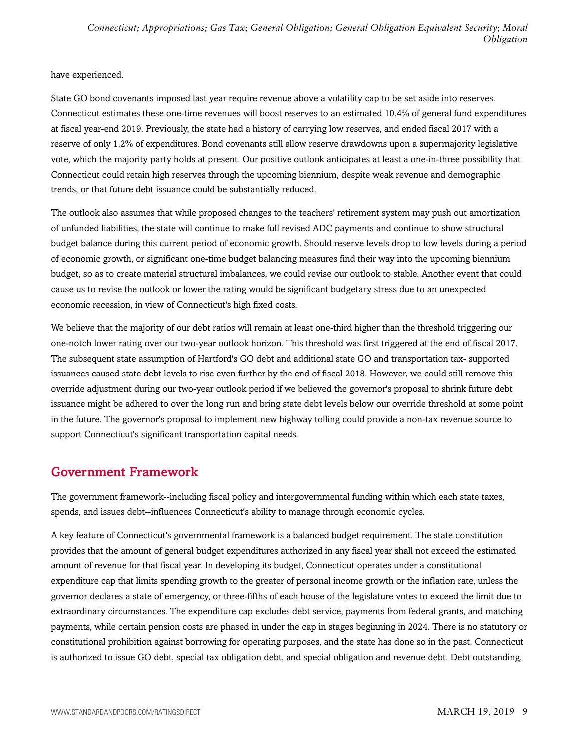have experienced.

State GO bond covenants imposed last year require revenue above a volatility cap to be set aside into reserves. Connecticut estimates these one-time revenues will boost reserves to an estimated 10.4% of general fund expenditures at fiscal year-end 2019. Previously, the state had a history of carrying low reserves, and ended fiscal 2017 with a reserve of only 1.2% of expenditures. Bond covenants still allow reserve drawdowns upon a supermajority legislative vote, which the majority party holds at present. Our positive outlook anticipates at least a one-in-three possibility that Connecticut could retain high reserves through the upcoming biennium, despite weak revenue and demographic trends, or that future debt issuance could be substantially reduced.

The outlook also assumes that while proposed changes to the teachers' retirement system may push out amortization of unfunded liabilities, the state will continue to make full revised ADC payments and continue to show structural budget balance during this current period of economic growth. Should reserve levels drop to low levels during a period of economic growth, or significant one-time budget balancing measures find their way into the upcoming biennium budget, so as to create material structural imbalances, we could revise our outlook to stable. Another event that could cause us to revise the outlook or lower the rating would be significant budgetary stress due to an unexpected economic recession, in view of Connecticut's high fixed costs.

We believe that the majority of our debt ratios will remain at least one-third higher than the threshold triggering our one-notch lower rating over our two-year outlook horizon. This threshold was first triggered at the end of fiscal 2017. The subsequent state assumption of Hartford's GO debt and additional state GO and transportation tax- supported issuances caused state debt levels to rise even further by the end of fiscal 2018. However, we could still remove this override adjustment during our two-year outlook period if we believed the governor's proposal to shrink future debt issuance might be adhered to over the long run and bring state debt levels below our override threshold at some point in the future. The governor's proposal to implement new highway tolling could provide a non-tax revenue source to support Connecticut's significant transportation capital needs.

# <span id="page-8-0"></span>Government Framework

The government framework--including fiscal policy and intergovernmental funding within which each state taxes, spends, and issues debt--influences Connecticut's ability to manage through economic cycles.

A key feature of Connecticut's governmental framework is a balanced budget requirement. The state constitution provides that the amount of general budget expenditures authorized in any fiscal year shall not exceed the estimated amount of revenue for that fiscal year. In developing its budget, Connecticut operates under a constitutional expenditure cap that limits spending growth to the greater of personal income growth or the inflation rate, unless the governor declares a state of emergency, or three-fifths of each house of the legislature votes to exceed the limit due to extraordinary circumstances. The expenditure cap excludes debt service, payments from federal grants, and matching payments, while certain pension costs are phased in under the cap in stages beginning in 2024. There is no statutory or constitutional prohibition against borrowing for operating purposes, and the state has done so in the past. Connecticut is authorized to issue GO debt, special tax obligation debt, and special obligation and revenue debt. Debt outstanding,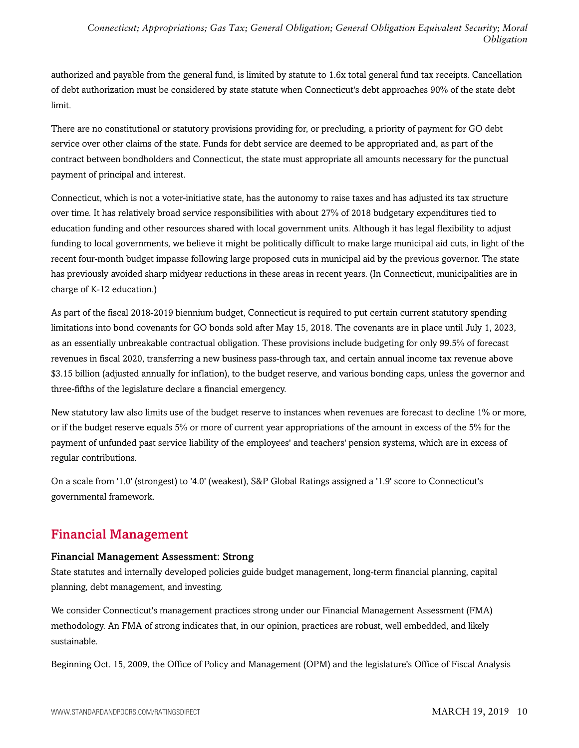authorized and payable from the general fund, is limited by statute to 1.6x total general fund tax receipts. Cancellation of debt authorization must be considered by state statute when Connecticut's debt approaches 90% of the state debt limit.

There are no constitutional or statutory provisions providing for, or precluding, a priority of payment for GO debt service over other claims of the state. Funds for debt service are deemed to be appropriated and, as part of the contract between bondholders and Connecticut, the state must appropriate all amounts necessary for the punctual payment of principal and interest.

Connecticut, which is not a voter-initiative state, has the autonomy to raise taxes and has adjusted its tax structure over time. It has relatively broad service responsibilities with about 27% of 2018 budgetary expenditures tied to education funding and other resources shared with local government units. Although it has legal flexibility to adjust funding to local governments, we believe it might be politically difficult to make large municipal aid cuts, in light of the recent four-month budget impasse following large proposed cuts in municipal aid by the previous governor. The state has previously avoided sharp midyear reductions in these areas in recent years. (In Connecticut, municipalities are in charge of K-12 education.)

As part of the fiscal 2018-2019 biennium budget, Connecticut is required to put certain current statutory spending limitations into bond covenants for GO bonds sold after May 15, 2018. The covenants are in place until July 1, 2023, as an essentially unbreakable contractual obligation. These provisions include budgeting for only 99.5% of forecast revenues in fiscal 2020, transferring a new business pass-through tax, and certain annual income tax revenue above \$3.15 billion (adjusted annually for inflation), to the budget reserve, and various bonding caps, unless the governor and three-fifths of the legislature declare a financial emergency.

New statutory law also limits use of the budget reserve to instances when revenues are forecast to decline 1% or more, or if the budget reserve equals 5% or more of current year appropriations of the amount in excess of the 5% for the payment of unfunded past service liability of the employees' and teachers' pension systems, which are in excess of regular contributions.

On a scale from '1.0' (strongest) to '4.0' (weakest), S&P Global Ratings assigned a '1.9' score to Connecticut's governmental framework.

# <span id="page-9-0"></span>Financial Management

# Financial Management Assessment: Strong

State statutes and internally developed policies guide budget management, long-term financial planning, capital planning, debt management, and investing.

We consider Connecticut's management practices strong under our Financial Management Assessment (FMA) methodology. An FMA of strong indicates that, in our opinion, practices are robust, well embedded, and likely sustainable.

Beginning Oct. 15, 2009, the Office of Policy and Management (OPM) and the legislature's Office of Fiscal Analysis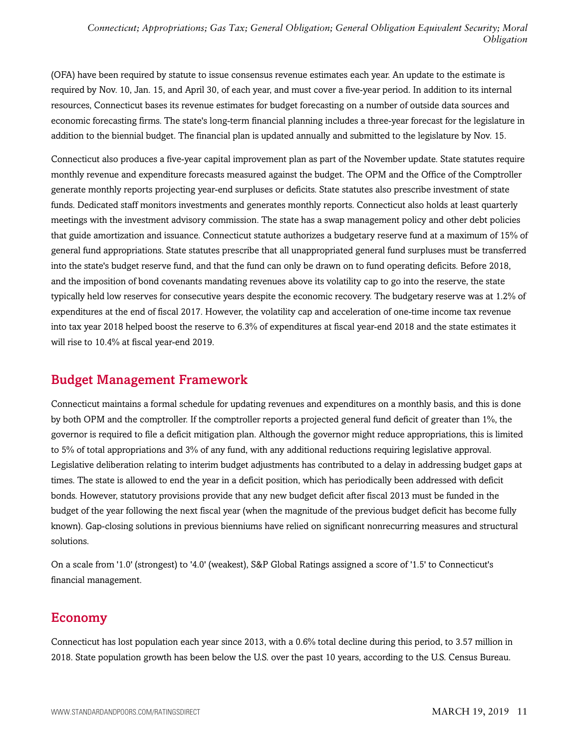(OFA) have been required by statute to issue consensus revenue estimates each year. An update to the estimate is required by Nov. 10, Jan. 15, and April 30, of each year, and must cover a five-year period. In addition to its internal resources, Connecticut bases its revenue estimates for budget forecasting on a number of outside data sources and economic forecasting firms. The state's long-term financial planning includes a three-year forecast for the legislature in addition to the biennial budget. The financial plan is updated annually and submitted to the legislature by Nov. 15.

Connecticut also produces a five-year capital improvement plan as part of the November update. State statutes require monthly revenue and expenditure forecasts measured against the budget. The OPM and the Office of the Comptroller generate monthly reports projecting year-end surpluses or deficits. State statutes also prescribe investment of state funds. Dedicated staff monitors investments and generates monthly reports. Connecticut also holds at least quarterly meetings with the investment advisory commission. The state has a swap management policy and other debt policies that guide amortization and issuance. Connecticut statute authorizes a budgetary reserve fund at a maximum of 15% of general fund appropriations. State statutes prescribe that all unappropriated general fund surpluses must be transferred into the state's budget reserve fund, and that the fund can only be drawn on to fund operating deficits. Before 2018, and the imposition of bond covenants mandating revenues above its volatility cap to go into the reserve, the state typically held low reserves for consecutive years despite the economic recovery. The budgetary reserve was at 1.2% of expenditures at the end of fiscal 2017. However, the volatility cap and acceleration of one-time income tax revenue into tax year 2018 helped boost the reserve to 6.3% of expenditures at fiscal year-end 2018 and the state estimates it will rise to 10.4% at fiscal year-end 2019.

# <span id="page-10-0"></span>Budget Management Framework

Connecticut maintains a formal schedule for updating revenues and expenditures on a monthly basis, and this is done by both OPM and the comptroller. If the comptroller reports a projected general fund deficit of greater than 1%, the governor is required to file a deficit mitigation plan. Although the governor might reduce appropriations, this is limited to 5% of total appropriations and 3% of any fund, with any additional reductions requiring legislative approval. Legislative deliberation relating to interim budget adjustments has contributed to a delay in addressing budget gaps at times. The state is allowed to end the year in a deficit position, which has periodically been addressed with deficit bonds. However, statutory provisions provide that any new budget deficit after fiscal 2013 must be funded in the budget of the year following the next fiscal year (when the magnitude of the previous budget deficit has become fully known). Gap-closing solutions in previous bienniums have relied on significant nonrecurring measures and structural solutions.

On a scale from '1.0' (strongest) to '4.0' (weakest), S&P Global Ratings assigned a score of '1.5' to Connecticut's financial management.

# <span id="page-10-1"></span>Economy

Connecticut has lost population each year since 2013, with a 0.6% total decline during this period, to 3.57 million in 2018. State population growth has been below the U.S. over the past 10 years, according to the U.S. Census Bureau.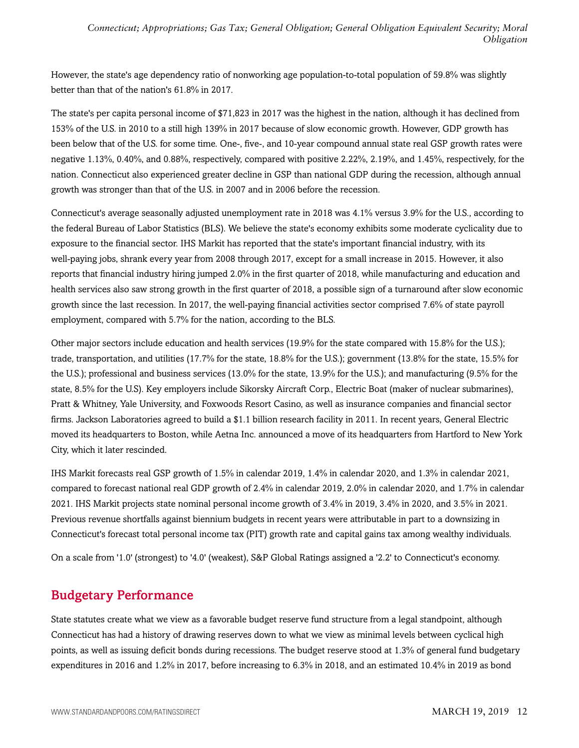However, the state's age dependency ratio of nonworking age population-to-total population of 59.8% was slightly better than that of the nation's 61.8% in 2017.

The state's per capita personal income of \$71,823 in 2017 was the highest in the nation, although it has declined from 153% of the U.S. in 2010 to a still high 139% in 2017 because of slow economic growth. However, GDP growth has been below that of the U.S. for some time. One-, five-, and 10-year compound annual state real GSP growth rates were negative 1.13%, 0.40%, and 0.88%, respectively, compared with positive 2.22%, 2.19%, and 1.45%, respectively, for the nation. Connecticut also experienced greater decline in GSP than national GDP during the recession, although annual growth was stronger than that of the U.S. in 2007 and in 2006 before the recession.

Connecticut's average seasonally adjusted unemployment rate in 2018 was 4.1% versus 3.9% for the U.S., according to the federal Bureau of Labor Statistics (BLS). We believe the state's economy exhibits some moderate cyclicality due to exposure to the financial sector. IHS Markit has reported that the state's important financial industry, with its well-paying jobs, shrank every year from 2008 through 2017, except for a small increase in 2015. However, it also reports that financial industry hiring jumped 2.0% in the first quarter of 2018, while manufacturing and education and health services also saw strong growth in the first quarter of 2018, a possible sign of a turnaround after slow economic growth since the last recession. In 2017, the well-paying financial activities sector comprised 7.6% of state payroll employment, compared with 5.7% for the nation, according to the BLS.

Other major sectors include education and health services (19.9% for the state compared with 15.8% for the U.S.); trade, transportation, and utilities (17.7% for the state, 18.8% for the U.S.); government (13.8% for the state, 15.5% for the U.S.); professional and business services (13.0% for the state, 13.9% for the U.S.); and manufacturing (9.5% for the state, 8.5% for the U.S). Key employers include Sikorsky Aircraft Corp., Electric Boat (maker of nuclear submarines), Pratt & Whitney, Yale University, and Foxwoods Resort Casino, as well as insurance companies and financial sector firms. Jackson Laboratories agreed to build a \$1.1 billion research facility in 2011. In recent years, General Electric moved its headquarters to Boston, while Aetna Inc. announced a move of its headquarters from Hartford to New York City, which it later rescinded.

IHS Markit forecasts real GSP growth of 1.5% in calendar 2019, 1.4% in calendar 2020, and 1.3% in calendar 2021, compared to forecast national real GDP growth of 2.4% in calendar 2019, 2.0% in calendar 2020, and 1.7% in calendar 2021. IHS Markit projects state nominal personal income growth of 3.4% in 2019, 3.4% in 2020, and 3.5% in 2021. Previous revenue shortfalls against biennium budgets in recent years were attributable in part to a downsizing in Connecticut's forecast total personal income tax (PIT) growth rate and capital gains tax among wealthy individuals.

<span id="page-11-0"></span>On a scale from '1.0' (strongest) to '4.0' (weakest), S&P Global Ratings assigned a '2.2' to Connecticut's economy.

# Budgetary Performance

State statutes create what we view as a favorable budget reserve fund structure from a legal standpoint, although Connecticut has had a history of drawing reserves down to what we view as minimal levels between cyclical high points, as well as issuing deficit bonds during recessions. The budget reserve stood at 1.3% of general fund budgetary expenditures in 2016 and 1.2% in 2017, before increasing to 6.3% in 2018, and an estimated 10.4% in 2019 as bond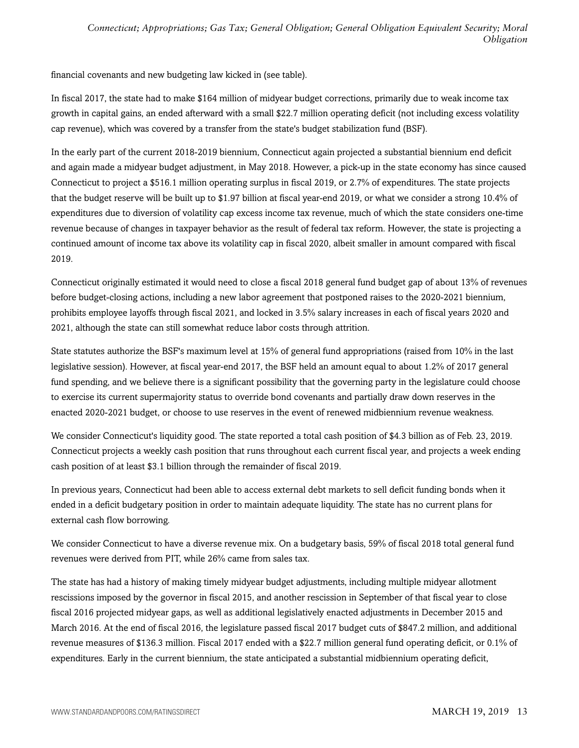financial covenants and new budgeting law kicked in (see table).

In fiscal 2017, the state had to make \$164 million of midyear budget corrections, primarily due to weak income tax growth in capital gains, an ended afterward with a small \$22.7 million operating deficit (not including excess volatility cap revenue), which was covered by a transfer from the state's budget stabilization fund (BSF).

In the early part of the current 2018-2019 biennium, Connecticut again projected a substantial biennium end deficit and again made a midyear budget adjustment, in May 2018. However, a pick-up in the state economy has since caused Connecticut to project a \$516.1 million operating surplus in fiscal 2019, or 2.7% of expenditures. The state projects that the budget reserve will be built up to \$1.97 billion at fiscal year-end 2019, or what we consider a strong 10.4% of expenditures due to diversion of volatility cap excess income tax revenue, much of which the state considers one-time revenue because of changes in taxpayer behavior as the result of federal tax reform. However, the state is projecting a continued amount of income tax above its volatility cap in fiscal 2020, albeit smaller in amount compared with fiscal 2019.

Connecticut originally estimated it would need to close a fiscal 2018 general fund budget gap of about 13% of revenues before budget-closing actions, including a new labor agreement that postponed raises to the 2020-2021 biennium, prohibits employee layoffs through fiscal 2021, and locked in 3.5% salary increases in each of fiscal years 2020 and 2021, although the state can still somewhat reduce labor costs through attrition.

State statutes authorize the BSF's maximum level at 15% of general fund appropriations (raised from 10% in the last legislative session). However, at fiscal year-end 2017, the BSF held an amount equal to about 1.2% of 2017 general fund spending, and we believe there is a significant possibility that the governing party in the legislature could choose to exercise its current supermajority status to override bond covenants and partially draw down reserves in the enacted 2020-2021 budget, or choose to use reserves in the event of renewed midbiennium revenue weakness.

We consider Connecticut's liquidity good. The state reported a total cash position of \$4.3 billion as of Feb. 23, 2019. Connecticut projects a weekly cash position that runs throughout each current fiscal year, and projects a week ending cash position of at least \$3.1 billion through the remainder of fiscal 2019.

In previous years, Connecticut had been able to access external debt markets to sell deficit funding bonds when it ended in a deficit budgetary position in order to maintain adequate liquidity. The state has no current plans for external cash flow borrowing.

We consider Connecticut to have a diverse revenue mix. On a budgetary basis, 59% of fiscal 2018 total general fund revenues were derived from PIT, while 26% came from sales tax.

The state has had a history of making timely midyear budget adjustments, including multiple midyear allotment rescissions imposed by the governor in fiscal 2015, and another rescission in September of that fiscal year to close fiscal 2016 projected midyear gaps, as well as additional legislatively enacted adjustments in December 2015 and March 2016. At the end of fiscal 2016, the legislature passed fiscal 2017 budget cuts of \$847.2 million, and additional revenue measures of \$136.3 million. Fiscal 2017 ended with a \$22.7 million general fund operating deficit, or 0.1% of expenditures. Early in the current biennium, the state anticipated a substantial midbiennium operating deficit,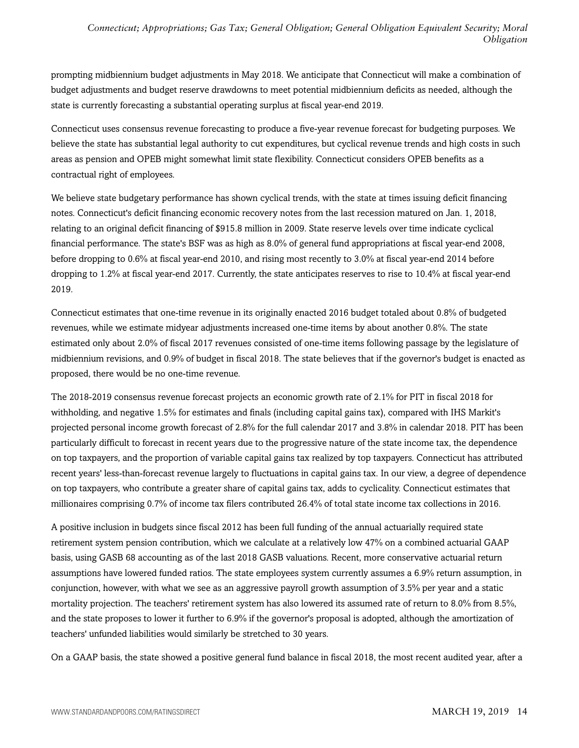prompting midbiennium budget adjustments in May 2018. We anticipate that Connecticut will make a combination of budget adjustments and budget reserve drawdowns to meet potential midbiennium deficits as needed, although the state is currently forecasting a substantial operating surplus at fiscal year-end 2019.

Connecticut uses consensus revenue forecasting to produce a five-year revenue forecast for budgeting purposes. We believe the state has substantial legal authority to cut expenditures, but cyclical revenue trends and high costs in such areas as pension and OPEB might somewhat limit state flexibility. Connecticut considers OPEB benefits as a contractual right of employees.

We believe state budgetary performance has shown cyclical trends, with the state at times issuing deficit financing notes. Connecticut's deficit financing economic recovery notes from the last recession matured on Jan. 1, 2018, relating to an original deficit financing of \$915.8 million in 2009. State reserve levels over time indicate cyclical financial performance. The state's BSF was as high as 8.0% of general fund appropriations at fiscal year-end 2008, before dropping to 0.6% at fiscal year-end 2010, and rising most recently to 3.0% at fiscal year-end 2014 before dropping to 1.2% at fiscal year-end 2017. Currently, the state anticipates reserves to rise to 10.4% at fiscal year-end 2019.

Connecticut estimates that one-time revenue in its originally enacted 2016 budget totaled about 0.8% of budgeted revenues, while we estimate midyear adjustments increased one-time items by about another 0.8%. The state estimated only about 2.0% of fiscal 2017 revenues consisted of one-time items following passage by the legislature of midbiennium revisions, and 0.9% of budget in fiscal 2018. The state believes that if the governor's budget is enacted as proposed, there would be no one-time revenue.

The 2018-2019 consensus revenue forecast projects an economic growth rate of 2.1% for PIT in fiscal 2018 for withholding, and negative 1.5% for estimates and finals (including capital gains tax), compared with IHS Markit's projected personal income growth forecast of 2.8% for the full calendar 2017 and 3.8% in calendar 2018. PIT has been particularly difficult to forecast in recent years due to the progressive nature of the state income tax, the dependence on top taxpayers, and the proportion of variable capital gains tax realized by top taxpayers. Connecticut has attributed recent years' less-than-forecast revenue largely to fluctuations in capital gains tax. In our view, a degree of dependence on top taxpayers, who contribute a greater share of capital gains tax, adds to cyclicality. Connecticut estimates that millionaires comprising 0.7% of income tax filers contributed 26.4% of total state income tax collections in 2016.

A positive inclusion in budgets since fiscal 2012 has been full funding of the annual actuarially required state retirement system pension contribution, which we calculate at a relatively low 47% on a combined actuarial GAAP basis, using GASB 68 accounting as of the last 2018 GASB valuations. Recent, more conservative actuarial return assumptions have lowered funded ratios. The state employees system currently assumes a 6.9% return assumption, in conjunction, however, with what we see as an aggressive payroll growth assumption of 3.5% per year and a static mortality projection. The teachers' retirement system has also lowered its assumed rate of return to 8.0% from 8.5%, and the state proposes to lower it further to 6.9% if the governor's proposal is adopted, although the amortization of teachers' unfunded liabilities would similarly be stretched to 30 years.

On a GAAP basis, the state showed a positive general fund balance in fiscal 2018, the most recent audited year, after a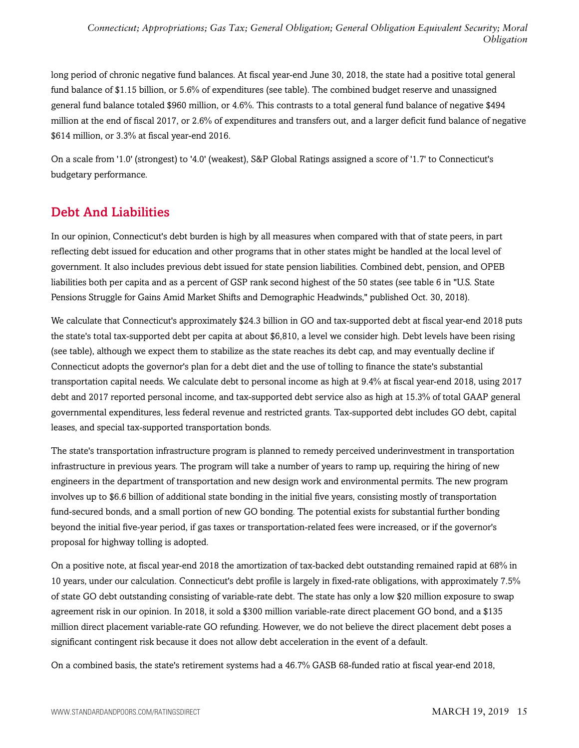long period of chronic negative fund balances. At fiscal year-end June 30, 2018, the state had a positive total general fund balance of \$1.15 billion, or 5.6% of expenditures (see table). The combined budget reserve and unassigned general fund balance totaled \$960 million, or 4.6%. This contrasts to a total general fund balance of negative \$494 million at the end of fiscal 2017, or 2.6% of expenditures and transfers out, and a larger deficit fund balance of negative \$614 million, or 3.3% at fiscal year-end 2016.

On a scale from '1.0' (strongest) to '4.0' (weakest), S&P Global Ratings assigned a score of '1.7' to Connecticut's budgetary performance.

# <span id="page-14-0"></span>Debt And Liabilities

In our opinion, Connecticut's debt burden is high by all measures when compared with that of state peers, in part reflecting debt issued for education and other programs that in other states might be handled at the local level of government. It also includes previous debt issued for state pension liabilities. Combined debt, pension, and OPEB liabilities both per capita and as a percent of GSP rank second highest of the 50 states (see table 6 in "U.S. State Pensions Struggle for Gains Amid Market Shifts and Demographic Headwinds," published Oct. 30, 2018).

We calculate that Connecticut's approximately \$24.3 billion in GO and tax-supported debt at fiscal year-end 2018 puts the state's total tax-supported debt per capita at about \$6,810, a level we consider high. Debt levels have been rising (see table), although we expect them to stabilize as the state reaches its debt cap, and may eventually decline if Connecticut adopts the governor's plan for a debt diet and the use of tolling to finance the state's substantial transportation capital needs. We calculate debt to personal income as high at 9.4% at fiscal year-end 2018, using 2017 debt and 2017 reported personal income, and tax-supported debt service also as high at 15.3% of total GAAP general governmental expenditures, less federal revenue and restricted grants. Tax-supported debt includes GO debt, capital leases, and special tax-supported transportation bonds.

The state's transportation infrastructure program is planned to remedy perceived underinvestment in transportation infrastructure in previous years. The program will take a number of years to ramp up, requiring the hiring of new engineers in the department of transportation and new design work and environmental permits. The new program involves up to \$6.6 billion of additional state bonding in the initial five years, consisting mostly of transportation fund-secured bonds, and a small portion of new GO bonding. The potential exists for substantial further bonding beyond the initial five-year period, if gas taxes or transportation-related fees were increased, or if the governor's proposal for highway tolling is adopted.

On a positive note, at fiscal year-end 2018 the amortization of tax-backed debt outstanding remained rapid at 68% in 10 years, under our calculation. Connecticut's debt profile is largely in fixed-rate obligations, with approximately 7.5% of state GO debt outstanding consisting of variable-rate debt. The state has only a low \$20 million exposure to swap agreement risk in our opinion. In 2018, it sold a \$300 million variable-rate direct placement GO bond, and a \$135 million direct placement variable-rate GO refunding. However, we do not believe the direct placement debt poses a significant contingent risk because it does not allow debt acceleration in the event of a default.

On a combined basis, the state's retirement systems had a 46.7% GASB 68-funded ratio at fiscal year-end 2018,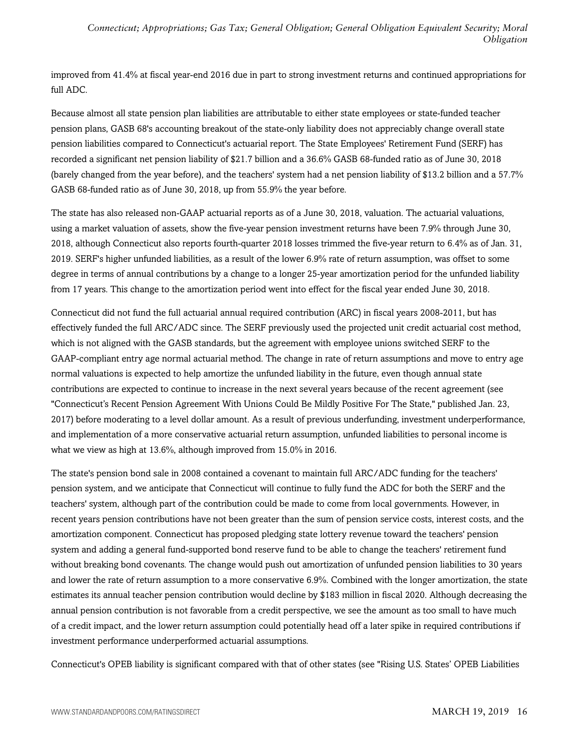improved from 41.4% at fiscal year-end 2016 due in part to strong investment returns and continued appropriations for full ADC.

Because almost all state pension plan liabilities are attributable to either state employees or state-funded teacher pension plans, GASB 68's accounting breakout of the state-only liability does not appreciably change overall state pension liabilities compared to Connecticut's actuarial report. The State Employees' Retirement Fund (SERF) has recorded a significant net pension liability of \$21.7 billion and a 36.6% GASB 68-funded ratio as of June 30, 2018 (barely changed from the year before), and the teachers' system had a net pension liability of \$13.2 billion and a 57.7% GASB 68-funded ratio as of June 30, 2018, up from 55.9% the year before.

The state has also released non-GAAP actuarial reports as of a June 30, 2018, valuation. The actuarial valuations, using a market valuation of assets, show the five-year pension investment returns have been 7.9% through June 30, 2018, although Connecticut also reports fourth-quarter 2018 losses trimmed the five-year return to 6.4% as of Jan. 31, 2019. SERF's higher unfunded liabilities, as a result of the lower 6.9% rate of return assumption, was offset to some degree in terms of annual contributions by a change to a longer 25-year amortization period for the unfunded liability from 17 years. This change to the amortization period went into effect for the fiscal year ended June 30, 2018.

Connecticut did not fund the full actuarial annual required contribution (ARC) in fiscal years 2008-2011, but has effectively funded the full ARC/ADC since. The SERF previously used the projected unit credit actuarial cost method, which is not aligned with the GASB standards, but the agreement with employee unions switched SERF to the GAAP-compliant entry age normal actuarial method. The change in rate of return assumptions and move to entry age normal valuations is expected to help amortize the unfunded liability in the future, even though annual state contributions are expected to continue to increase in the next several years because of the recent agreement (see "Connecticut's Recent Pension Agreement With Unions Could Be Mildly Positive For The State," published Jan. 23, 2017) before moderating to a level dollar amount. As a result of previous underfunding, investment underperformance, and implementation of a more conservative actuarial return assumption, unfunded liabilities to personal income is what we view as high at 13.6%, although improved from 15.0% in 2016.

The state's pension bond sale in 2008 contained a covenant to maintain full ARC/ADC funding for the teachers' pension system, and we anticipate that Connecticut will continue to fully fund the ADC for both the SERF and the teachers' system, although part of the contribution could be made to come from local governments. However, in recent years pension contributions have not been greater than the sum of pension service costs, interest costs, and the amortization component. Connecticut has proposed pledging state lottery revenue toward the teachers' pension system and adding a general fund-supported bond reserve fund to be able to change the teachers' retirement fund without breaking bond covenants. The change would push out amortization of unfunded pension liabilities to 30 years and lower the rate of return assumption to a more conservative 6.9%. Combined with the longer amortization, the state estimates its annual teacher pension contribution would decline by \$183 million in fiscal 2020. Although decreasing the annual pension contribution is not favorable from a credit perspective, we see the amount as too small to have much of a credit impact, and the lower return assumption could potentially head off a later spike in required contributions if investment performance underperformed actuarial assumptions.

Connecticut's OPEB liability is significant compared with that of other states (see "Rising U.S. States' OPEB Liabilities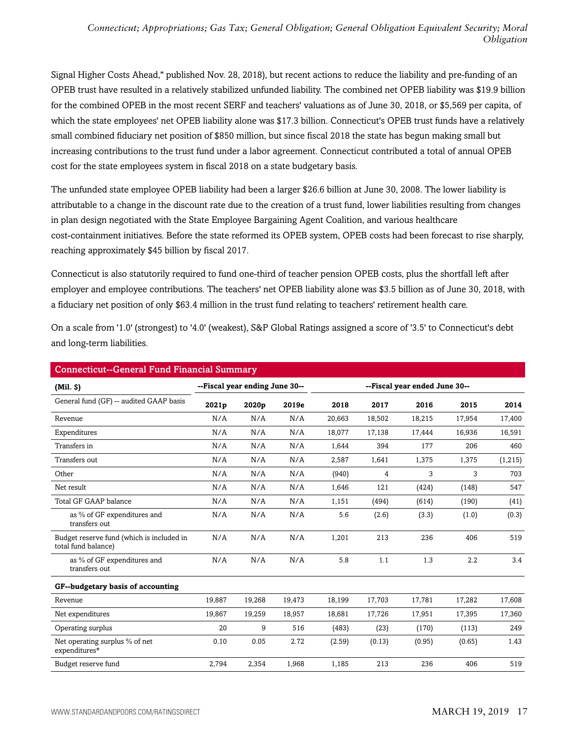Signal Higher Costs Ahead," published Nov. 28, 2018), but recent actions to reduce the liability and pre-funding of an OPEB trust have resulted in a relatively stabilized unfunded liability. The combined net OPEB liability was \$19.9 billion for the combined OPEB in the most recent SERF and teachers' valuations as of June 30, 2018, or \$5,569 per capita, of which the state employees' net OPEB liability alone was \$17.3 billion. Connecticut's OPEB trust funds have a relatively small combined fiduciary net position of \$850 million, but since fiscal 2018 the state has begun making small but increasing contributions to the trust fund under a labor agreement. Connecticut contributed a total of annual OPEB cost for the state employees system in fiscal 2018 on a state budgetary basis.

The unfunded state employee OPEB liability had been a larger \$26.6 billion at June 30, 2008. The lower liability is attributable to a change in the discount rate due to the creation of a trust fund, lower liabilities resulting from changes in plan design negotiated with the State Employee Bargaining Agent Coalition, and various healthcare cost-containment initiatives. Before the state reformed its OPEB system, OPEB costs had been forecast to rise sharply, reaching approximately \$45 billion by fiscal 2017.

Connecticut is also statutorily required to fund one-third of teacher pension OPEB costs, plus the shortfall left after employer and employee contributions. The teachers' net OPEB liability alone was \$3.5 billion as of June 30, 2018, with a fiduciary net position of only \$63.4 million in the trust fund relating to teachers' retirement health care.

On a scale from '1.0' (strongest) to '4.0' (weakest), S&P Global Ratings assigned a score of '3.5' to Connecticut's debt and long-term liabilities.

| <b>Connecticut--General Fund Financial Summary</b>               |        |                                |        |                               |        |        |        |         |
|------------------------------------------------------------------|--------|--------------------------------|--------|-------------------------------|--------|--------|--------|---------|
| (Mil. S)                                                         |        | --Fiscal year ending June 30-- |        | --Fiscal year ended June 30-- |        |        |        |         |
| General fund (GF) -- audited GAAP basis                          | 2021p  | 2020p                          | 2019e  | 2018                          | 2017   | 2016   | 2015   | 2014    |
| Revenue                                                          | N/A    | N/A                            | N/A    | 20,663                        | 18,502 | 18,215 | 17,954 | 17,400  |
| Expenditures                                                     | N/A    | N/A                            | N/A    | 18,077                        | 17,138 | 17,444 | 16,936 | 16,591  |
| Transfers in                                                     | N/A    | N/A                            | N/A    | 1,644                         | 394    | 177    | 206    | 460     |
| Transfers out                                                    | N/A    | N/A                            | N/A    | 2,587                         | 1,641  | 1,375  | 1,375  | (1,215) |
| Other                                                            | N/A    | N/A                            | N/A    | (940)                         | 4      | 3      | 3      | 703     |
| Net result                                                       | N/A    | N/A                            | N/A    | 1,646                         | 121    | (424)  | (148)  | 547     |
| Total GF GAAP balance                                            | N/A    | N/A                            | N/A    | 1,151                         | (494)  | (614)  | (190)  | (41)    |
| as % of GF expenditures and<br>transfers out                     | N/A    | N/A                            | N/A    | 5.6                           | (2.6)  | (3.3)  | (1.0)  | (0.3)   |
| Budget reserve fund (which is included in<br>total fund balance) | N/A    | N/A                            | N/A    | 1,201                         | 213    | 236    | 406    | 519     |
| as % of GF expenditures and<br>transfers out                     | N/A    | N/A                            | N/A    | 5.8                           | 1.1    | 1.3    | 2.2    | 3.4     |
| GF--budgetary basis of accounting                                |        |                                |        |                               |        |        |        |         |
| Revenue                                                          | 19,887 | 19,268                         | 19,473 | 18,199                        | 17,703 | 17,781 | 17,282 | 17,608  |
| Net expenditures                                                 | 19,867 | 19,259                         | 18,957 | 18,681                        | 17,726 | 17,951 | 17,395 | 17,360  |
| Operating surplus                                                | 20     | 9                              | 516    | (483)                         | (23)   | (170)  | (113)  | 249     |
| Net operating surplus % of net<br>expenditures*                  | 0.10   | 0.05                           | 2.72   | (2.59)                        | (0.13) | (0.95) | (0.65) | 1.43    |
| Budget reserve fund                                              | 2,794  | 2,354                          | 1,968  | 1,185                         | 213    | 236    | 406    | 519     |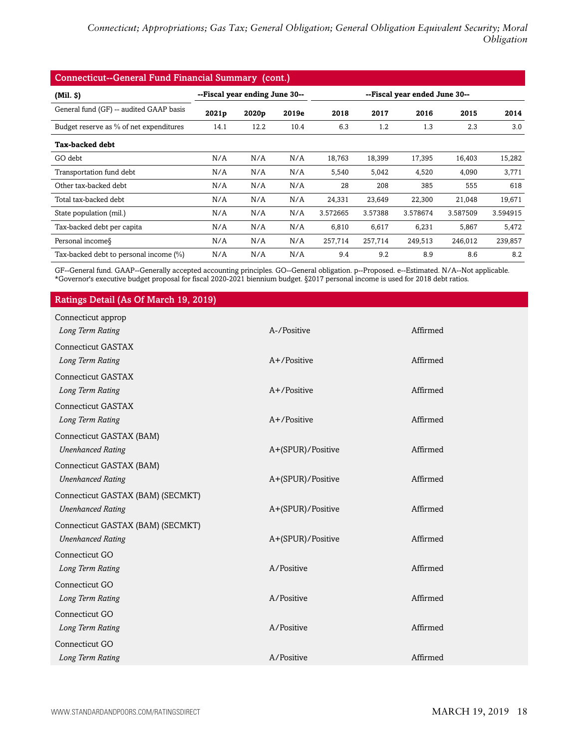| <b>Connecticut--General Fund Financial Summary (cont.)</b> |                                |       |       |          |         |                               |          |          |
|------------------------------------------------------------|--------------------------------|-------|-------|----------|---------|-------------------------------|----------|----------|
| (Mil. S)                                                   | --Fiscal year ending June 30-- |       |       |          |         | --Fiscal year ended June 30-- |          |          |
| General fund (GF) -- audited GAAP basis                    | 2021p                          | 2020p | 2019e | 2018     | 2017    | 2016                          | 2015     | 2014     |
| Budget reserve as % of net expenditures                    | 14.1                           | 12.2  | 10.4  | 6.3      | 1.2     | 1.3                           | 2.3      | 3.0      |
| <b>Tax-backed debt</b>                                     |                                |       |       |          |         |                               |          |          |
| GO debt                                                    | N/A                            | N/A   | N/A   | 18,763   | 18,399  | 17,395                        | 16,403   | 15,282   |
| Transportation fund debt                                   | N/A                            | N/A   | N/A   | 5,540    | 5,042   | 4,520                         | 4,090    | 3,771    |
| Other tax-backed debt                                      | N/A                            | N/A   | N/A   | 28       | 208     | 385                           | 555      | 618      |
| Total tax-backed debt                                      | N/A                            | N/A   | N/A   | 24,331   | 23,649  | 22,300                        | 21,048   | 19,671   |
| State population (mil.)                                    | N/A                            | N/A   | N/A   | 3.572665 | 3.57388 | 3.578674                      | 3.587509 | 3.594915 |
| Tax-backed debt per capita                                 | N/A                            | N/A   | N/A   | 6,810    | 6,617   | 6,231                         | 5,867    | 5,472    |
| Personal income §                                          | N/A                            | N/A   | N/A   | 257,714  | 257,714 | 249,513                       | 246,012  | 239,857  |
| Tax-backed debt to personal income (%)                     | N/A                            | N/A   | N/A   | 9.4      | 9.2     | 8.9                           | 8.6      | 8.2      |

GF--General fund. GAAP--Generally accepted accounting principles. GO--General obligation. p--Proposed. e--Estimated. N/A--Not applicable. \*Governor's executive budget proposal for fiscal 2020-2021 biennium budget. §2017 personal income is used for 2018 debt ratios.

#### Ratings Detail (As Of March 19, 2019)

| Connecticut approp                |                   |          |
|-----------------------------------|-------------------|----------|
| Long Term Rating                  | A-/Positive       | Affirmed |
| <b>Connecticut GASTAX</b>         |                   |          |
| Long Term Rating                  | $A+$ /Positive    | Affirmed |
| <b>Connecticut GASTAX</b>         |                   |          |
| Long Term Rating                  | A+/Positive       | Affirmed |
| Connecticut GASTAX                |                   |          |
| Long Term Rating                  | $A+$ /Positive    | Affirmed |
| Connecticut GASTAX (BAM)          |                   |          |
| <b>Unenhanced Rating</b>          | A+(SPUR)/Positive | Affirmed |
| Connecticut GASTAX (BAM)          |                   |          |
| <b>Unenhanced Rating</b>          | A+(SPUR)/Positive | Affirmed |
| Connecticut GASTAX (BAM) (SECMKT) |                   |          |
| <b>Unenhanced Rating</b>          | A+(SPUR)/Positive | Affirmed |
| Connecticut GASTAX (BAM) (SECMKT) |                   |          |
| <b>Unenhanced Rating</b>          | A+(SPUR)/Positive | Affirmed |
| Connecticut GO                    |                   |          |
| Long Term Rating                  | A/Positive        | Affirmed |
| Connecticut GO                    |                   |          |
| Long Term Rating                  | A/Positive        | Affirmed |
| Connecticut GO                    |                   |          |
| Long Term Rating                  | A/Positive        | Affirmed |
| Connecticut GO                    |                   |          |
| Long Term Rating                  | A/Positive        | Affirmed |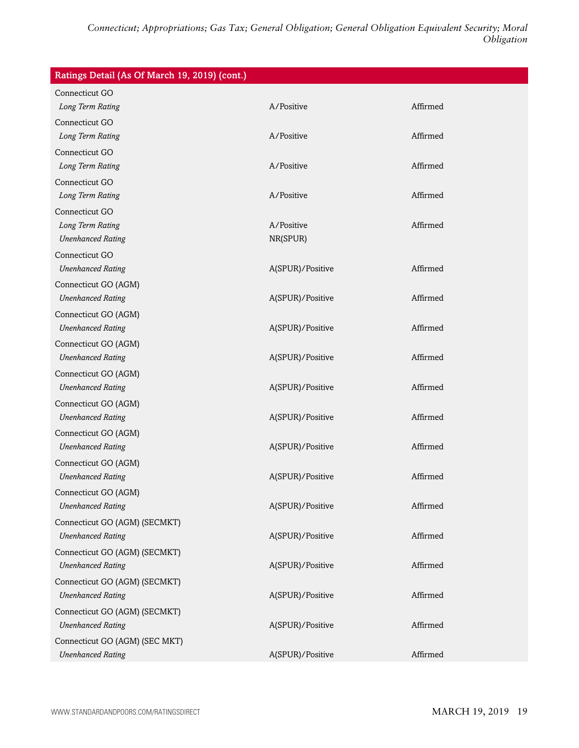| Ratings Detail (As Of March 19, 2019) (cont.) |                  |          |
|-----------------------------------------------|------------------|----------|
| Connecticut GO                                |                  |          |
| Long Term Rating                              | A/Positive       | Affirmed |
| Connecticut GO                                |                  |          |
| Long Term Rating                              | A/Positive       | Affirmed |
| Connecticut GO                                |                  |          |
| Long Term Rating                              | A/Positive       | Affirmed |
| Connecticut GO                                |                  |          |
| Long Term Rating                              | A/Positive       | Affirmed |
| Connecticut GO                                |                  |          |
| Long Term Rating                              | A/Positive       | Affirmed |
| <b>Unenhanced Rating</b>                      | NR(SPUR)         |          |
| Connecticut GO                                |                  |          |
| <b>Unenhanced Rating</b>                      | A(SPUR)/Positive | Affirmed |
| Connecticut GO (AGM)                          |                  |          |
| <b>Unenhanced Rating</b>                      | A(SPUR)/Positive | Affirmed |
| Connecticut GO (AGM)                          |                  |          |
| <b>Unenhanced Rating</b>                      | A(SPUR)/Positive | Affirmed |
| Connecticut GO (AGM)                          |                  |          |
| <b>Unenhanced Rating</b>                      | A(SPUR)/Positive | Affirmed |
| Connecticut GO (AGM)                          |                  |          |
| <b>Unenhanced Rating</b>                      | A(SPUR)/Positive | Affirmed |
| Connecticut GO (AGM)                          |                  |          |
| <b>Unenhanced Rating</b>                      | A(SPUR)/Positive | Affirmed |
| Connecticut GO (AGM)                          |                  |          |
| <b>Unenhanced Rating</b>                      | A(SPUR)/Positive | Affirmed |
| Connecticut GO (AGM)                          |                  |          |
| <b>Unenhanced Rating</b>                      | A(SPUR)/Positive | Affirmed |
| Connecticut GO (AGM)                          |                  |          |
| <b>Unenhanced Rating</b>                      | A(SPUR)/Positive | Affirmed |
| Connecticut GO (AGM) (SECMKT)                 |                  |          |
| <b>Unenhanced Rating</b>                      | A(SPUR)/Positive | Affirmed |
| Connecticut GO (AGM) (SECMKT)                 |                  |          |
| <b>Unenhanced Rating</b>                      | A(SPUR)/Positive | Affirmed |
| Connecticut GO (AGM) (SECMKT)                 |                  |          |
| <b>Unenhanced Rating</b>                      | A(SPUR)/Positive | Affirmed |
| Connecticut GO (AGM) (SECMKT)                 |                  |          |
| <b>Unenhanced Rating</b>                      | A(SPUR)/Positive | Affirmed |
| Connecticut GO (AGM) (SEC MKT)                |                  |          |
| <b>Unenhanced Rating</b>                      | A(SPUR)/Positive | Affirmed |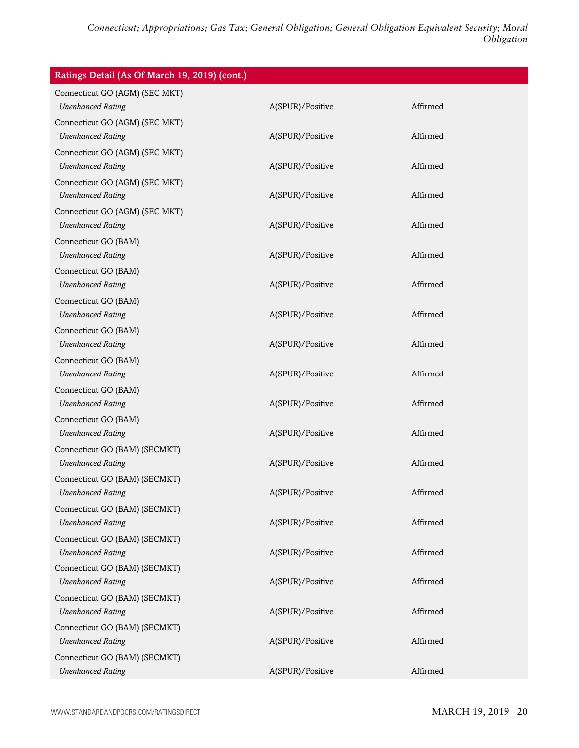| Ratings Detail (As Of March 19, 2019) (cont.)              |                  |          |
|------------------------------------------------------------|------------------|----------|
| Connecticut GO (AGM) (SEC MKT)<br><b>Unenhanced Rating</b> | A(SPUR)/Positive | Affirmed |
| Connecticut GO (AGM) (SEC MKT)<br><b>Unenhanced Rating</b> | A(SPUR)/Positive | Affirmed |
| Connecticut GO (AGM) (SEC MKT)<br><b>Unenhanced Rating</b> | A(SPUR)/Positive | Affirmed |
| Connecticut GO (AGM) (SEC MKT)<br><b>Unenhanced Rating</b> | A(SPUR)/Positive | Affirmed |
| Connecticut GO (AGM) (SEC MKT)<br><b>Unenhanced Rating</b> | A(SPUR)/Positive | Affirmed |
| Connecticut GO (BAM)<br><b>Unenhanced Rating</b>           | A(SPUR)/Positive | Affirmed |
| Connecticut GO (BAM)<br><b>Unenhanced Rating</b>           | A(SPUR)/Positive | Affirmed |
| Connecticut GO (BAM)<br><b>Unenhanced Rating</b>           | A(SPUR)/Positive | Affirmed |
| Connecticut GO (BAM)<br><b>Unenhanced Rating</b>           | A(SPUR)/Positive | Affirmed |
| Connecticut GO (BAM)<br><b>Unenhanced Rating</b>           | A(SPUR)/Positive | Affirmed |
| Connecticut GO (BAM)<br><b>Unenhanced Rating</b>           | A(SPUR)/Positive | Affirmed |
| Connecticut GO (BAM)<br><b>Unenhanced Rating</b>           | A(SPUR)/Positive | Affirmed |
| Connecticut GO (BAM) (SECMKT)<br><b>Unenhanced Rating</b>  | A(SPUR)/Positive | Affirmed |
| Connecticut GO (BAM) (SECMKT)<br><b>Unenhanced Rating</b>  | A(SPUR)/Positive | Affirmed |
| Connecticut GO (BAM) (SECMKT)<br><b>Unenhanced Rating</b>  | A(SPUR)/Positive | Affirmed |
| Connecticut GO (BAM) (SECMKT)<br><b>Unenhanced Rating</b>  | A(SPUR)/Positive | Affirmed |
| Connecticut GO (BAM) (SECMKT)<br><b>Unenhanced Rating</b>  | A(SPUR)/Positive | Affirmed |
| Connecticut GO (BAM) (SECMKT)<br><b>Unenhanced Rating</b>  | A(SPUR)/Positive | Affirmed |
| Connecticut GO (BAM) (SECMKT)<br><b>Unenhanced Rating</b>  | A(SPUR)/Positive | Affirmed |
| Connecticut GO (BAM) (SECMKT)<br><b>Unenhanced Rating</b>  | A(SPUR)/Positive | Affirmed |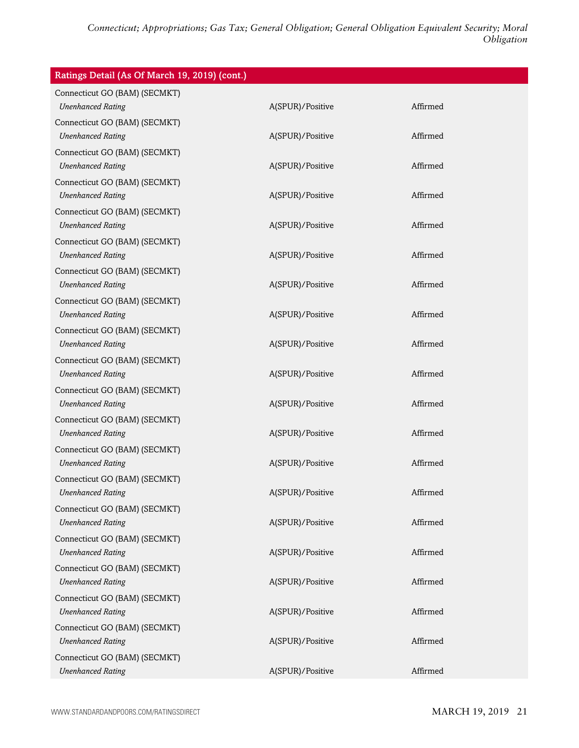| Ratings Detail (As Of March 19, 2019) (cont.)             |                  |          |
|-----------------------------------------------------------|------------------|----------|
| Connecticut GO (BAM) (SECMKT)<br><b>Unenhanced Rating</b> | A(SPUR)/Positive | Affirmed |
| Connecticut GO (BAM) (SECMKT)<br><b>Unenhanced Rating</b> | A(SPUR)/Positive | Affirmed |
| Connecticut GO (BAM) (SECMKT)<br><b>Unenhanced Rating</b> | A(SPUR)/Positive | Affirmed |
| Connecticut GO (BAM) (SECMKT)<br><b>Unenhanced Rating</b> | A(SPUR)/Positive | Affirmed |
| Connecticut GO (BAM) (SECMKT)<br><b>Unenhanced Rating</b> | A(SPUR)/Positive | Affirmed |
| Connecticut GO (BAM) (SECMKT)<br><b>Unenhanced Rating</b> | A(SPUR)/Positive | Affirmed |
| Connecticut GO (BAM) (SECMKT)<br><b>Unenhanced Rating</b> | A(SPUR)/Positive | Affirmed |
| Connecticut GO (BAM) (SECMKT)<br><b>Unenhanced Rating</b> | A(SPUR)/Positive | Affirmed |
| Connecticut GO (BAM) (SECMKT)<br><b>Unenhanced Rating</b> | A(SPUR)/Positive | Affirmed |
| Connecticut GO (BAM) (SECMKT)<br><b>Unenhanced Rating</b> | A(SPUR)/Positive | Affirmed |
| Connecticut GO (BAM) (SECMKT)<br><b>Unenhanced Rating</b> | A(SPUR)/Positive | Affirmed |
| Connecticut GO (BAM) (SECMKT)<br><b>Unenhanced Rating</b> | A(SPUR)/Positive | Affirmed |
| Connecticut GO (BAM) (SECMKT)<br><b>Unenhanced Rating</b> | A(SPUR)/Positive | Affirmed |
| Connecticut GO (BAM) (SECMKT)<br><b>Unenhanced Rating</b> | A(SPUR)/Positive | Affirmed |
| Connecticut GO (BAM) (SECMKT)<br><b>Unenhanced Rating</b> | A(SPUR)/Positive | Affirmed |
| Connecticut GO (BAM) (SECMKT)<br><b>Unenhanced Rating</b> | A(SPUR)/Positive | Affirmed |
| Connecticut GO (BAM) (SECMKT)<br><b>Unenhanced Rating</b> | A(SPUR)/Positive | Affirmed |
| Connecticut GO (BAM) (SECMKT)<br><b>Unenhanced Rating</b> | A(SPUR)/Positive | Affirmed |
| Connecticut GO (BAM) (SECMKT)<br><b>Unenhanced Rating</b> | A(SPUR)/Positive | Affirmed |
| Connecticut GO (BAM) (SECMKT)<br><b>Unenhanced Rating</b> | A(SPUR)/Positive | Affirmed |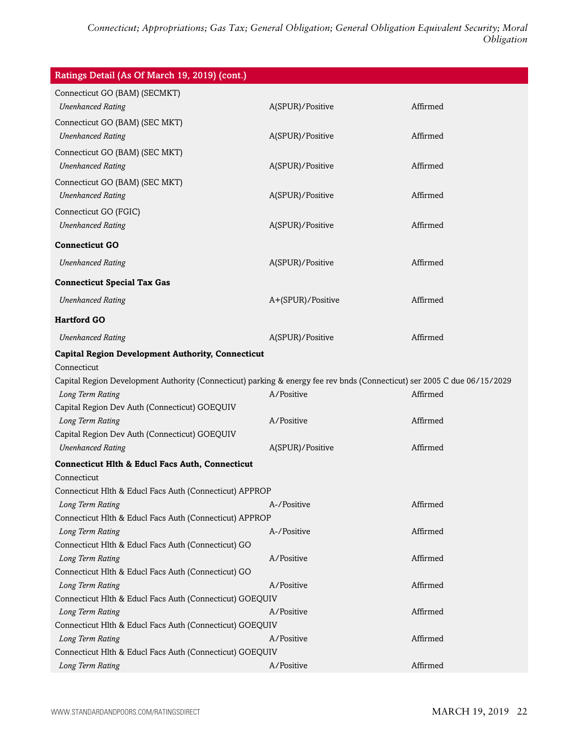| Ratings Detail (As Of March 19, 2019) (cont.)                                                                            |                   |          |
|--------------------------------------------------------------------------------------------------------------------------|-------------------|----------|
| Connecticut GO (BAM) (SECMKT)                                                                                            |                   |          |
| <b>Unenhanced Rating</b>                                                                                                 | A(SPUR)/Positive  | Affirmed |
| Connecticut GO (BAM) (SEC MKT)                                                                                           |                   |          |
| <b>Unenhanced Rating</b>                                                                                                 | A(SPUR)/Positive  | Affirmed |
| Connecticut GO (BAM) (SEC MKT)                                                                                           |                   |          |
| <b>Unenhanced Rating</b>                                                                                                 | A(SPUR)/Positive  | Affirmed |
| Connecticut GO (BAM) (SEC MKT)                                                                                           |                   |          |
| <b>Unenhanced Rating</b>                                                                                                 | A(SPUR)/Positive  | Affirmed |
| Connecticut GO (FGIC)                                                                                                    |                   |          |
| <b>Unenhanced Rating</b>                                                                                                 | A(SPUR)/Positive  | Affirmed |
| <b>Connecticut GO</b>                                                                                                    |                   |          |
| <b>Unenhanced Rating</b>                                                                                                 | A(SPUR)/Positive  | Affirmed |
| <b>Connecticut Special Tax Gas</b>                                                                                       |                   |          |
| <b>Unenhanced Rating</b>                                                                                                 | A+(SPUR)/Positive | Affirmed |
| <b>Hartford GO</b>                                                                                                       |                   |          |
| <b>Unenhanced Rating</b>                                                                                                 | A(SPUR)/Positive  | Affirmed |
| <b>Capital Region Development Authority, Connecticut</b>                                                                 |                   |          |
| Connecticut                                                                                                              |                   |          |
| Capital Region Development Authority (Connecticut) parking & energy fee rev bnds (Connecticut) ser 2005 C due 06/15/2029 |                   |          |
| Long Term Rating                                                                                                         | A/Positive        | Affirmed |
| Capital Region Dev Auth (Connecticut) GOEQUIV                                                                            |                   |          |
| Long Term Rating                                                                                                         | A/Positive        | Affirmed |
| Capital Region Dev Auth (Connecticut) GOEQUIV                                                                            |                   |          |
| <b>Unenhanced Rating</b>                                                                                                 | A(SPUR)/Positive  | Affirmed |
| <b>Connecticut Hlth &amp; Educl Facs Auth, Connecticut</b>                                                               |                   |          |
| Connecticut                                                                                                              |                   |          |
| Connecticut Hlth & Educl Facs Auth (Connecticut) APPROP                                                                  |                   |          |
| Long Term Rating                                                                                                         | A-/Positive       | Affirmed |
| Connecticut Hlth & Educl Facs Auth (Connecticut) APPROP<br>Long Term Rating                                              | A-/Positive       | Affirmed |
| Connecticut Hlth & Educl Facs Auth (Connecticut) GO                                                                      |                   |          |
| Long Term Rating                                                                                                         | A/Positive        | Affirmed |
| Connecticut Hlth & Educl Facs Auth (Connecticut) GO                                                                      |                   |          |
| Long Term Rating                                                                                                         | A/Positive        | Affirmed |
| Connecticut Hlth & Educl Facs Auth (Connecticut) GOEQUIV                                                                 |                   |          |
| Long Term Rating                                                                                                         | A/Positive        | Affirmed |
| Connecticut Hlth & Educl Facs Auth (Connecticut) GOEQUIV                                                                 |                   |          |
| Long Term Rating                                                                                                         | A/Positive        | Affirmed |
| Connecticut Hlth & Educl Facs Auth (Connecticut) GOEQUIV                                                                 |                   |          |
| Long Term Rating                                                                                                         | A/Positive        | Affirmed |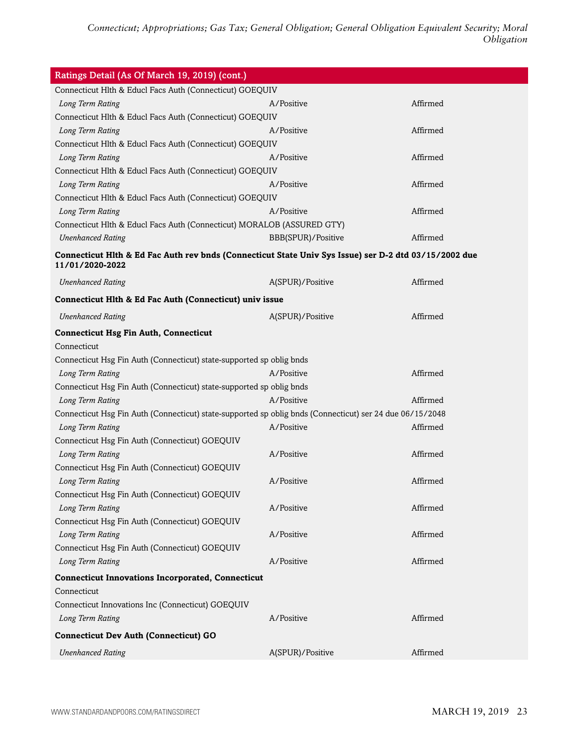| Ratings Detail (As Of March 19, 2019) (cont.)                                                            |                    |          |  |  |  |
|----------------------------------------------------------------------------------------------------------|--------------------|----------|--|--|--|
| Connecticut Hlth & Educl Facs Auth (Connecticut) GOEQUIV                                                 |                    |          |  |  |  |
| Long Term Rating                                                                                         | A/Positive         | Affirmed |  |  |  |
| Connecticut Hlth & Educl Facs Auth (Connecticut) GOEQUIV                                                 |                    |          |  |  |  |
| Long Term Rating                                                                                         | A/Positive         | Affirmed |  |  |  |
| Connecticut Hlth & Educl Facs Auth (Connecticut) GOEQUIV                                                 |                    |          |  |  |  |
| Long Term Rating                                                                                         | A/Positive         | Affirmed |  |  |  |
| Connecticut Hlth & Educl Facs Auth (Connecticut) GOEQUIV                                                 |                    |          |  |  |  |
| Long Term Rating                                                                                         | A/Positive         | Affirmed |  |  |  |
| Connecticut Hlth & Educl Facs Auth (Connecticut) GOEQUIV                                                 |                    |          |  |  |  |
| Long Term Rating                                                                                         | A/Positive         | Affirmed |  |  |  |
| Connecticut Hlth & Educl Facs Auth (Connecticut) MORALOB (ASSURED GTY)                                   |                    |          |  |  |  |
| <b>Unenhanced Rating</b>                                                                                 | BBB(SPUR)/Positive | Affirmed |  |  |  |
| Connecticut Hlth & Ed Fac Auth rev bnds (Connecticut State Univ Sys Issue) ser D-2 dtd 03/15/2002 due    |                    |          |  |  |  |
| 11/01/2020-2022                                                                                          |                    |          |  |  |  |
| <b>Unenhanced Rating</b>                                                                                 | A(SPUR)/Positive   | Affirmed |  |  |  |
| Connecticut Hlth & Ed Fac Auth (Connecticut) univ issue                                                  |                    |          |  |  |  |
| <b>Unenhanced Rating</b>                                                                                 | A(SPUR)/Positive   | Affirmed |  |  |  |
| <b>Connecticut Hsg Fin Auth, Connecticut</b>                                                             |                    |          |  |  |  |
| Connecticut                                                                                              |                    |          |  |  |  |
| Connecticut Hsg Fin Auth (Connecticut) state-supported sp oblig bnds                                     |                    |          |  |  |  |
| Long Term Rating                                                                                         | A/Positive         | Affirmed |  |  |  |
| Connecticut Hsg Fin Auth (Connecticut) state-supported sp oblig bnds                                     |                    |          |  |  |  |
| Long Term Rating                                                                                         | A/Positive         | Affirmed |  |  |  |
| Connecticut Hsg Fin Auth (Connecticut) state-supported sp oblig bnds (Connecticut) ser 24 due 06/15/2048 |                    |          |  |  |  |
| Long Term Rating                                                                                         | A/Positive         | Affirmed |  |  |  |
| Connecticut Hsg Fin Auth (Connecticut) GOEQUIV                                                           |                    |          |  |  |  |
| Long Term Rating                                                                                         | A/Positive         | Affirmed |  |  |  |
| Connecticut Hsg Fin Auth (Connecticut) GOEQUIV                                                           |                    |          |  |  |  |
| Long Term Rating                                                                                         | A/Positive         | Affirmed |  |  |  |
| Connecticut Hsg Fin Auth (Connecticut) GOEQUIV                                                           |                    |          |  |  |  |
| Long Term Rating                                                                                         | A/Positive         | Affirmed |  |  |  |
| Connecticut Hsg Fin Auth (Connecticut) GOEQUIV                                                           |                    |          |  |  |  |
| Long Term Rating                                                                                         | A/Positive         | Affirmed |  |  |  |
| Connecticut Hsg Fin Auth (Connecticut) GOEQUIV                                                           |                    |          |  |  |  |
| Long Term Rating                                                                                         | A/Positive         | Affirmed |  |  |  |
| <b>Connecticut Innovations Incorporated, Connecticut</b>                                                 |                    |          |  |  |  |
| Connecticut                                                                                              |                    |          |  |  |  |
| Connecticut Innovations Inc (Connecticut) GOEQUIV                                                        |                    |          |  |  |  |
| Long Term Rating                                                                                         | A/Positive         | Affirmed |  |  |  |
| <b>Connecticut Dev Auth (Connecticut) GO</b>                                                             |                    |          |  |  |  |
| <b>Unenhanced Rating</b>                                                                                 | A(SPUR)/Positive   | Affirmed |  |  |  |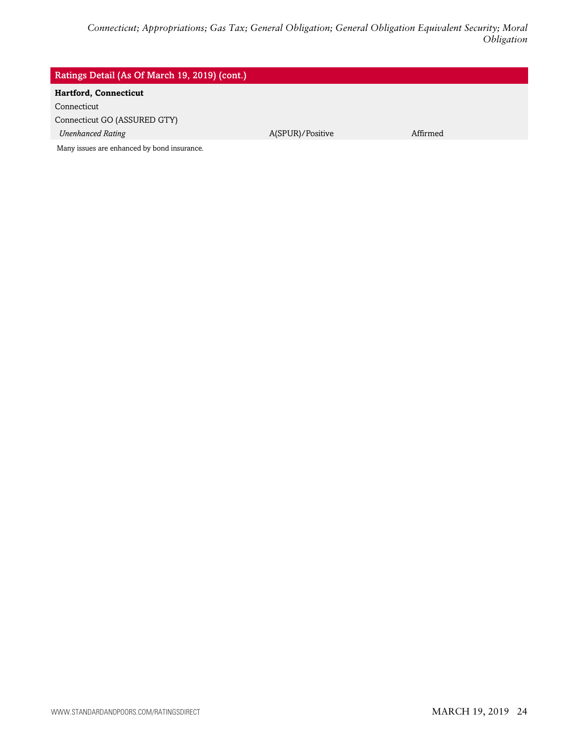#### Ratings Detail (As Of March 19, 2019) (cont.)

### **Hartford, Connecticut**

Connecticut

Connecticut GO (ASSURED GTY)

*Unenhanced Rating* A(SPUR)/Positive Affirmed

Many issues are enhanced by bond insurance.